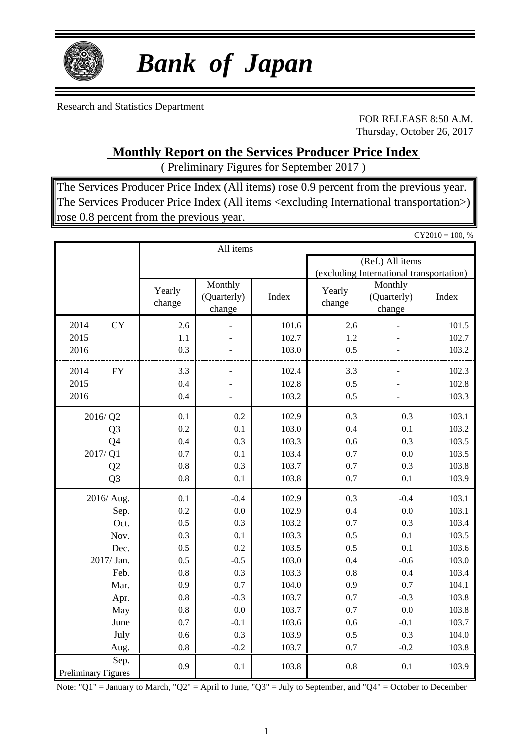

# *Bank of Japan*

Research and Statistics Department

FOR RELEASE 8:50 A.M. Thursday, October 26, 2017

 $CY2010 = 100, %$ 

**Monthly Report on the Services Producer Price Index**

( Preliminary Figures for September 2017 )

The Services Producer Price Index (All items) rose 0.9 percent from the previous year. The Services Producer Price Index (All items <excluding International transportation>) rose 0.8 percent from the previous year.

|                                    |                  | All items                        |       |                                          |                                  |       |  |  |  |
|------------------------------------|------------------|----------------------------------|-------|------------------------------------------|----------------------------------|-------|--|--|--|
|                                    |                  |                                  |       | (Ref.) All items                         |                                  |       |  |  |  |
|                                    |                  |                                  |       | (excluding International transportation) |                                  |       |  |  |  |
|                                    | Yearly<br>change | Monthly<br>(Quarterly)<br>change | Index | Yearly<br>change                         | Monthly<br>(Quarterly)<br>change | Index |  |  |  |
| 2014<br><b>CY</b>                  | 2.6              |                                  | 101.6 | 2.6                                      |                                  | 101.5 |  |  |  |
| 2015                               | 1.1              |                                  | 102.7 | 1.2                                      |                                  | 102.7 |  |  |  |
| 2016                               | 0.3              |                                  | 103.0 | 0.5                                      |                                  | 103.2 |  |  |  |
| 2014<br><b>FY</b>                  | 3.3              | $\overline{a}$                   | 102.4 | 3.3                                      |                                  | 102.3 |  |  |  |
| 2015                               | 0.4              |                                  | 102.8 | 0.5                                      |                                  | 102.8 |  |  |  |
| 2016                               | 0.4              |                                  | 103.2 | 0.5                                      |                                  | 103.3 |  |  |  |
| 2016/Q2                            | 0.1              | 0.2                              | 102.9 | 0.3                                      | 0.3                              | 103.1 |  |  |  |
| Q <sub>3</sub>                     | 0.2              | 0.1                              | 103.0 | 0.4                                      | 0.1                              | 103.2 |  |  |  |
| Q4                                 | 0.4              | 0.3                              | 103.3 | 0.6                                      | 0.3                              | 103.5 |  |  |  |
| 2017/Q1                            | 0.7              | 0.1                              | 103.4 | 0.7                                      | 0.0                              | 103.5 |  |  |  |
| Q2                                 | 0.8              | 0.3                              | 103.7 | 0.7                                      | 0.3                              | 103.8 |  |  |  |
| Q <sub>3</sub>                     | 0.8              | 0.1                              | 103.8 | 0.7                                      | 0.1                              | 103.9 |  |  |  |
| 2016/ Aug.                         | 0.1              | $-0.4$                           | 102.9 | 0.3                                      | $-0.4$                           | 103.1 |  |  |  |
| Sep.                               | 0.2              | 0.0                              | 102.9 | 0.4                                      | 0.0                              | 103.1 |  |  |  |
| Oct.                               | 0.5              | 0.3                              | 103.2 | 0.7                                      | 0.3                              | 103.4 |  |  |  |
| Nov.                               | 0.3              | 0.1                              | 103.3 | 0.5                                      | 0.1                              | 103.5 |  |  |  |
| Dec.                               | 0.5              | 0.2                              | 103.5 | 0.5                                      | 0.1                              | 103.6 |  |  |  |
| 2017/ Jan.                         | 0.5              | $-0.5$                           | 103.0 | 0.4                                      | $-0.6$                           | 103.0 |  |  |  |
| Feb.                               | 0.8              | 0.3                              | 103.3 | 0.8                                      | 0.4                              | 103.4 |  |  |  |
| Mar.                               | 0.9              | 0.7                              | 104.0 | 0.9                                      | 0.7                              | 104.1 |  |  |  |
| Apr.                               | $0.8\,$          | $-0.3$                           | 103.7 | 0.7                                      | $-0.3$                           | 103.8 |  |  |  |
| May                                | 0.8              | 0.0                              | 103.7 | 0.7                                      | 0.0                              | 103.8 |  |  |  |
| June                               | 0.7              | $-0.1$                           | 103.6 | 0.6                                      | $-0.1$                           | 103.7 |  |  |  |
| July                               | 0.6              | 0.3                              | 103.9 | 0.5                                      | 0.3                              | 104.0 |  |  |  |
| Aug.                               | 0.8              | $-0.2$                           | 103.7 | 0.7                                      | $-0.2$                           | 103.8 |  |  |  |
| Sep.<br><b>Preliminary Figures</b> | 0.9              | 0.1                              | 103.8 | 0.8                                      | 0.1                              | 103.9 |  |  |  |

Note: "Q1" = January to March, "Q2" = April to June, "Q3" = July to September, and "Q4" = October to December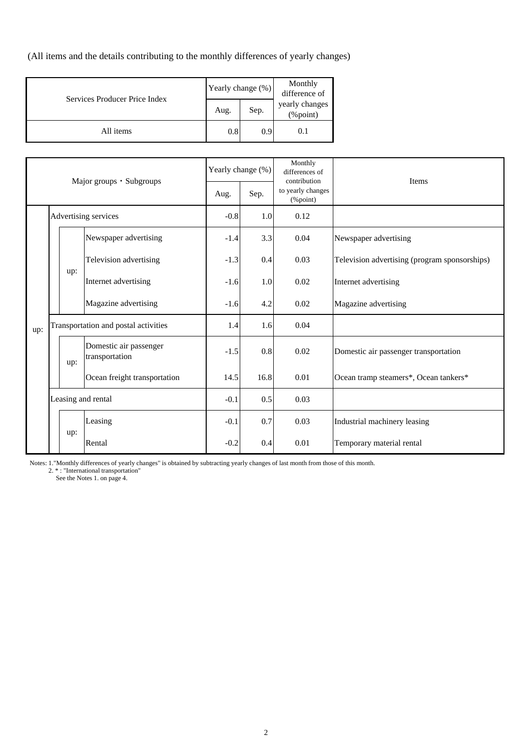(All items and the details contributing to the monthly differences of yearly changes)

| Services Producer Price Index | Yearly change (%) |      | Monthly<br>difference of   |
|-------------------------------|-------------------|------|----------------------------|
|                               | Aug.              | Sep. | yearly changes<br>(%point) |
| All items                     | 0.8               | 0.9  | 0.1                        |

| Major groups · Subgroups |                      |                                      | Yearly change (%)                        |        | Monthly<br>differences of<br>contribution | <b>Items</b>                      |                                               |
|--------------------------|----------------------|--------------------------------------|------------------------------------------|--------|-------------------------------------------|-----------------------------------|-----------------------------------------------|
|                          |                      |                                      |                                          | Aug.   | Sep.                                      | to yearly changes<br>$(\%$ point) |                                               |
|                          | Advertising services |                                      | $-0.8$                                   | 1.0    | 0.12                                      |                                   |                                               |
|                          |                      |                                      | Newspaper advertising                    | $-1.4$ | 3.3                                       | 0.04                              | Newspaper advertising                         |
|                          |                      |                                      | Television advertising                   | $-1.3$ | 0.4                                       | 0.03                              | Television advertising (program sponsorships) |
|                          |                      | up:                                  | Internet advertising                     | $-1.6$ | 1.0                                       | 0.02                              | Internet advertising                          |
|                          |                      |                                      | Magazine advertising                     | $-1.6$ | 4.2                                       | 0.02                              | Magazine advertising                          |
| up:                      |                      | Transportation and postal activities |                                          | 1.4    | 1.6                                       | 0.04                              |                                               |
|                          |                      | up:                                  | Domestic air passenger<br>transportation | $-1.5$ | 0.8                                       | 0.02                              | Domestic air passenger transportation         |
|                          |                      |                                      | Ocean freight transportation             | 14.5   | 16.8                                      | 0.01                              | Ocean tramp steamers*, Ocean tankers*         |
|                          |                      |                                      | Leasing and rental                       | $-0.1$ | 0.5                                       | 0.03                              |                                               |
|                          |                      |                                      | Leasing                                  | $-0.1$ | 0.7                                       | 0.03                              | Industrial machinery leasing                  |
|                          |                      | up:                                  | Rental                                   | $-0.2$ | 0.4                                       | 0.01                              | Temporary material rental                     |

Notes: 1."Monthly differences of yearly changes" is obtained by subtracting yearly changes of last month from those of this month.

2. \* : "International transportation"

See the Notes 1. on page 4.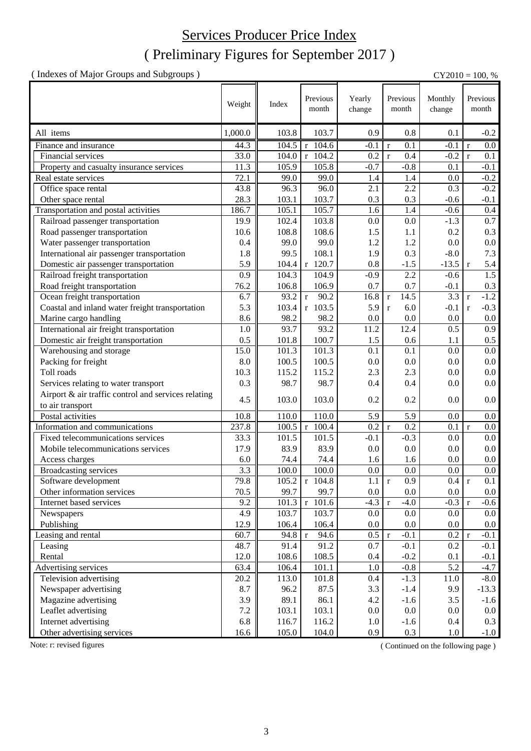### Services Producer Price Index

### ( Preliminary Figures for September 2017 )

( Indexes of Major Groups and Subgroups ) CY2010 = 100, %

|                                                     | Weight  | Index | Previous<br>month                 | Yearly<br>change | Previous<br>month     | Monthly<br>change | Previous<br>month      |
|-----------------------------------------------------|---------|-------|-----------------------------------|------------------|-----------------------|-------------------|------------------------|
| All items                                           | 1,000.0 | 103.8 | 103.7                             | 0.9              | 0.8                   | 0.1               | $-0.2$                 |
| Finance and insurance                               | 44.3    | 104.5 | $r$ 104.6                         | $-0.1$           | 0.1<br>$\mathbf r$    | $-0.1$            | 0.0<br>r               |
| Financial services                                  | 33.0    | 104.0 | $r$ 104.2                         | 0.2              | 0.4<br>$\mathbf{r}$   | $-0.2$            | 0.1<br>$\mathbf{r}$    |
| Property and casualty insurance services            | 11.3    | 105.9 | 105.8                             | $-0.7$           | $-0.8$                | 0.1               | $-0.1$                 |
| Real estate services                                | 72.1    | 99.0  | 99.0                              | 1.4              | 1.4                   | 0.0               | $-0.2$                 |
| Office space rental                                 | 43.8    | 96.3  | 96.0                              | 2.1              | 2.2                   | 0.3               | $-0.2$                 |
| Other space rental                                  | 28.3    | 103.1 | 103.7                             | 0.3              | 0.3                   | $-0.6$            | $-0.1$                 |
| Transportation and postal activities                | 186.7   | 105.1 | 105.7                             | 1.6              | 1.4                   | $-0.6$            | 0.4                    |
| Railroad passenger transportation                   | 19.9    | 102.4 | 103.8                             | 0.0              | 0.0                   | $-1.3$            | 0.7                    |
| Road passenger transportation                       | 10.6    | 108.8 | 108.6                             | 1.5              | 1.1                   | 0.2               | 0.3                    |
| Water passenger transportation                      | 0.4     | 99.0  | 99.0                              | 1.2              | 1.2                   | 0.0               | $0.0\,$                |
| International air passenger transportation          | 1.8     | 99.5  | 108.1                             | 1.9              | 0.3                   | $-8.0$            | 7.3                    |
| Domestic air passenger transportation               | 5.9     | 104.4 | r 120.7                           | 0.8              | $-1.5$                | $-13.5$           | 5.4<br>$\mathbf{r}$    |
| Railroad freight transportation                     | 0.9     | 104.3 | 104.9                             | $-0.9$           | 2.2                   | $-0.6$            | $\overline{1.5}$       |
| Road freight transportation                         | 76.2    | 106.8 | 106.9                             | 0.7              | 0.7                   | $-0.1$            | 0.3                    |
| Ocean freight transportation                        | 6.7     | 93.2  | 90.2<br>$\mathbf{r}$              | 16.8             | 14.5<br>$\mathbf r$   | 3.3               | $-1.2$<br>$\mathbf r$  |
| Coastal and inland water freight transportation     | 5.3     | 103.4 | r 103.5                           | 5.9              | 6.0<br>$\mathbf{r}$   | $-0.1$            | $-0.3$<br>$\mathbf{r}$ |
| Marine cargo handling                               | 8.6     | 98.2  | 98.2                              | 0.0              | 0.0                   | 0.0               | $0.0\,$                |
| International air freight transportation            | 1.0     | 93.7  | 93.2                              | 11.2             | 12.4                  | 0.5               | 0.9                    |
| Domestic air freight transportation                 | 0.5     | 101.8 | 100.7                             | 1.5              | 0.6                   | 1.1               | $0.5\,$                |
| Warehousing and storage                             | 15.0    | 101.3 | 101.3                             | 0.1              | 0.1                   | 0.0               | 0.0                    |
| Packing for freight                                 | 8.0     | 100.5 | 100.5                             | 0.0              | 0.0                   | 0.0               | $0.0\,$                |
| Toll roads                                          | 10.3    | 115.2 | 115.2                             | 2.3              | 2.3                   | 0.0               | $0.0\,$                |
| Services relating to water transport                | 0.3     | 98.7  | 98.7                              | 0.4              | 0.4                   | 0.0               | 0.0                    |
| Airport & air traffic control and services relating |         |       |                                   |                  |                       |                   |                        |
| to air transport                                    | 4.5     | 103.0 | 103.0                             | 0.2              | 0.2                   | 0.0               | 0.0                    |
| Postal activities                                   | 10.8    | 110.0 | 110.0                             | 5.9              | 5.9                   | 0.0               | 0.0                    |
| Information and communications                      | 237.8   | 100.5 | $r$ 100.4                         | 0.2              | $\mathbf{r}$<br>0.2   | 0.1               | r<br>0.0               |
| Fixed telecommunications services                   | 33.3    | 101.5 | $101.\overline{5}$                | $-0.1$           | $-0.3$                | 0.0               | $0.0\,$                |
| Mobile telecommunications services                  | 17.9    | 83.9  | 83.9                              | 0.0              | 0.0                   | 0.0               | 0.0                    |
| Access charges                                      | 6.0     | 74.4  | 74.4                              | 1.6              | 1.6                   | 0.0               | 0.0                    |
| Broadcasting services                               | 3.3     | 100.0 | 100.0                             | 0.0              | 0.0                   | 0.0               | 0.0                    |
| Software development                                | 79.8    |       | $105.2$ r $104.8$                 | $1.1 \mid r$     | $\overline{0.9}$      | 0.4               | 0.1                    |
| Other information services                          | 70.5    | 99.7  | 99.7                              | 0.0              | $0.0\,$               | 0.0               | $0.0\,$                |
| Internet based services                             | 9.2     | 101.3 | $r$ 101.6                         | $-4.3$           | $-4.0$<br>$\mathbf r$ | $-0.3$            | $-0.6$<br>l r          |
| Newspapers                                          | 4.9     | 103.7 | 103.7                             | 0.0              | $0.0\,$               | 0.0               | 0.0                    |
| Publishing                                          | 12.9    | 106.4 | 106.4                             | $0.0\,$          | $0.0\,$               | 0.0               | $0.0\,$                |
| Leasing and rental                                  | 60.7    | 94.8  | $\overline{9}4.6$<br>$\mathbf{r}$ | 0.5              | $-0.1$<br>$\mathbf r$ | 0.2 r             | $-0.1$                 |
| Leasing                                             | 48.7    | 91.4  | 91.2                              | 0.7              | $-0.1$                | 0.2               | $-0.1$                 |
| Rental                                              | 12.0    | 108.6 | 108.5                             | 0.4              | $-0.2$                | 0.1               | $-0.1$                 |
| Advertising services                                | 63.4    | 106.4 | 101.1                             | 1.0              | $-0.8$                | 5.2               | $-4.7$                 |
| Television advertising                              | 20.2    | 113.0 | 101.8                             | 0.4              | $-1.3$                | 11.0              | $-8.0$                 |
| Newspaper advertising                               | 8.7     | 96.2  | 87.5                              | 3.3              | $-1.4$                | 9.9               | $-13.3$                |
| Magazine advertising                                | 3.9     | 89.1  | 86.1                              | 4.2              | $-1.6$                | 3.5               | $-1.6$                 |
| Leaflet advertising                                 | 7.2     | 103.1 | 103.1                             | $0.0\,$          | $0.0\,$               | 0.0               | $0.0\,$                |
| Internet advertising                                | 6.8     | 116.7 | 116.2                             | 1.0              | $-1.6$                | 0.4               | 0.3                    |
| Other advertising services                          | 16.6    | 105.0 | 104.0                             | 0.9              | 0.3                   | $1.0\,$           | $-1.0$                 |

Note: r: revised figures (Continued on the following page)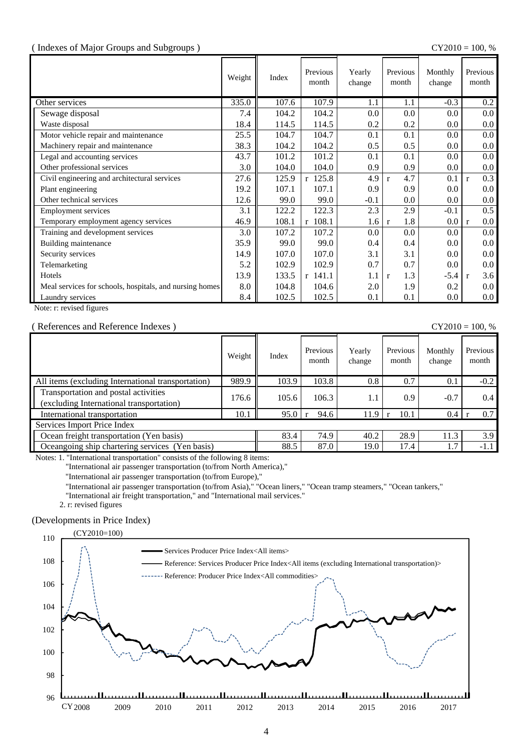#### ( Indexes of Major Groups and Subgroups ) CY2010 = 100, %

|                                                         | Weight | Index | Previous<br>month | Yearly<br>change | Previous<br>month   | Monthly<br>change | Previous<br>month   |
|---------------------------------------------------------|--------|-------|-------------------|------------------|---------------------|-------------------|---------------------|
| Other services                                          | 335.0  | 107.6 | 107.9             | 1.1              | 1.1                 | $-0.3$            | 0.2                 |
| Sewage disposal                                         | 7.4    | 104.2 | 104.2             | 0.0              | 0.0                 | 0.0               | 0.0 <sub>1</sub>    |
| Waste disposal                                          | 18.4   | 114.5 | 114.5             | 0.2              | 0.2                 | 0.0               | $0.0\,$             |
| Motor vehicle repair and maintenance                    | 25.5   | 104.7 | 104.7             | 0.1              | 0.1                 | 0.0               | $0.0\,$             |
| Machinery repair and maintenance                        | 38.3   | 104.2 | 104.2             | 0.5              | 0.5                 | 0.0               | $0.0\,$             |
| Legal and accounting services                           | 43.7   | 101.2 | 101.2             | 0.1              | 0.1                 | 0.0               | 0.0 <sub>1</sub>    |
| Other professional services                             | 3.0    | 104.0 | 104.0             | 0.9              | 0.9                 | 0.0               | $0.0\,$             |
| Civil engineering and architectural services            | 27.6   | 125.9 | $r$ 125.8         | 4.9              | 4.7<br>$\mathbf{r}$ | 0.1               | 0.3<br>$\mathbf{r}$ |
| Plant engineering                                       | 19.2   | 107.1 | 107.1             | 0.9              | 0.9                 | 0.0               | $0.0\,$             |
| Other technical services                                | 12.6   | 99.0  | 99.0              | $-0.1$           | $0.0\,$             | 0.0               | $0.0\,$             |
| <b>Employment services</b>                              | 3.1    | 122.2 | 122.3             | 2.3              | 2.9                 | $-0.1$            | 0.5                 |
| Temporary employment agency services                    | 46.9   | 108.1 | $r$ 108.1         | 1.6              | 1.8<br>$\mathbf{r}$ | $0.0\,$           | $0.0\,$<br>l r      |
| Training and development services                       | 3.0    | 107.2 | 107.2             | 0.0              | 0.0                 | 0.0               | 0.0 <sub>1</sub>    |
| Building maintenance                                    | 35.9   | 99.0  | 99.0              | 0.4              | 0.4                 | 0.0               | $0.0\,$             |
| Security services                                       | 14.9   | 107.0 | 107.0             | 3.1              | 3.1                 | 0.0               | $0.0\,$             |
| Telemarketing                                           | 5.2    | 102.9 | 102.9             | 0.7              | 0.7                 | 0.0               | $0.0\,$             |
| Hotels                                                  | 13.9   | 133.5 | $r$ 141.1         | 1.1              | 1.3<br>$\mathbf{r}$ | $-5.4$            | 3.6<br>$\mathbf{r}$ |
| Meal services for schools, hospitals, and nursing homes | 8.0    | 104.8 | 104.6             | 2.0              | 1.9                 | 0.2               | $0.0\,$             |
| Laundry services                                        | 8.4    | 102.5 | 102.5             | 0.1              | 0.1                 | 0.0               | $0.0\,$             |

Note: r: revised figures

#### ( References and Reference Indexes ) CY2010 = 100, %

|                                                                                  | Weight | Index | Previous<br>month | Yearly<br>change | Previous<br>month | Monthly<br>change | Previous<br>month |
|----------------------------------------------------------------------------------|--------|-------|-------------------|------------------|-------------------|-------------------|-------------------|
| All items (excluding International transportation)                               | 989.9  | 103.9 | 103.8             | 0.8              | 0.7               | 0.1               | $-0.2$            |
| Transportation and postal activities<br>(excluding International transportation) | 176.6  | 105.6 | 106.3             | 1.1              | 0.9               | $-0.7$            | 0.4               |
| International transportation                                                     | 10.1   | 95.0  | 94.6              | 11.9             | 10.1              | 0.4               | 0.7               |
| Services Import Price Index                                                      |        |       |                   |                  |                   |                   |                   |
| Ocean freight transportation (Yen basis)                                         |        | 83.4  | 74.9              | 40.2             | 28.9              | 11.3              | 3.9               |
| Oceangoing ship chartering services (Yen basis)                                  |        | 88.5  | 87.0              | 19.0             | 17.4              | 1.7               | $-1.1$            |

Notes: 1. "International transportation" consists of the following 8 items:

"International air passenger transportation (to/from North America),"

"International air passenger transportation (to/from Europe),"

"International air passenger transportation (to/from Asia)," "Ocean liners," "Ocean tramp steamers," "Ocean tankers,"

"International air freight transportation," and "International mail services."

2. r: revised figures

#### (Developments in Price Index)